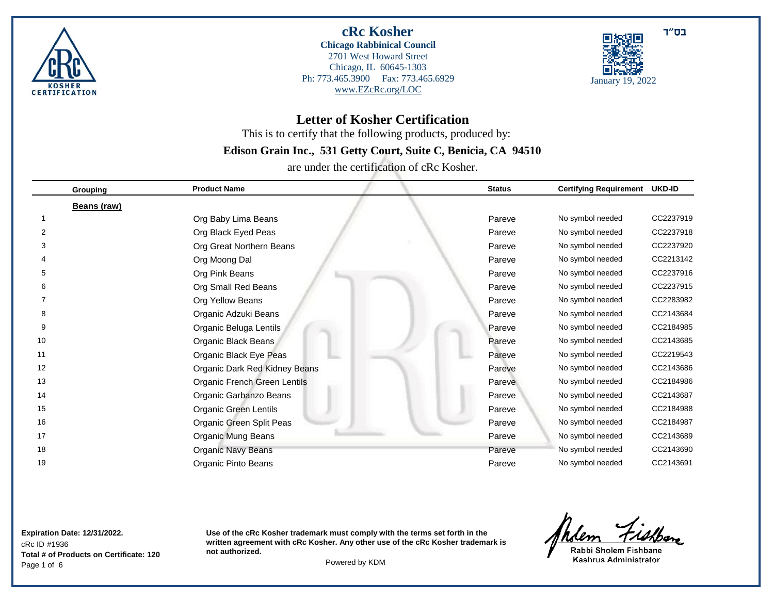



**Letter of Kosher Certification** 

This is to certify that the following products, produced by:

# **Edison Grain Inc., 531 Getty Court, Suite C, Benicia, CA 94510**

are under the certification of cRc Kosher.

|    | Grouping    | <b>Product Name</b>           | <b>Status</b> | <b>Certifying Requirement</b> | <b>UKD-ID</b> |
|----|-------------|-------------------------------|---------------|-------------------------------|---------------|
|    | Beans (raw) |                               |               |                               |               |
|    |             | Org Baby Lima Beans           | Pareve        | No symbol needed              | CC2237919     |
| 2  |             | Org Black Eyed Peas           | Pareve        | No symbol needed              | CC2237918     |
|    |             | Org Great Northern Beans      | Pareve        | No symbol needed              | CC2237920     |
|    |             | Org Moong Dal                 | Pareve        | No symbol needed              | CC2213142     |
| 5  |             | Org Pink Beans                | Pareve        | No symbol needed              | CC2237916     |
|    |             | Org Small Red Beans           | Pareve        | No symbol needed              | CC2237915     |
|    |             | Org Yellow Beans              | Pareve        | No symbol needed              | CC2283982     |
| 8  |             | Organic Adzuki Beans          | Pareve        | No symbol needed              | CC2143684     |
| 9  |             | Organic Beluga Lentils        | Pareve        | No symbol needed              | CC2184985     |
| 10 |             | Organic Black Beans           | Pareve        | No symbol needed              | CC2143685     |
| 11 |             | Organic Black Eye Peas        | Pareve        | No symbol needed              | CC2219543     |
| 12 |             | Organic Dark Red Kidney Beans | Pareve        | No symbol needed              | CC2143686     |
| 13 |             | Organic French Green Lentils  | Pareve        | No symbol needed              | CC2184986     |
| 14 |             | Organic Garbanzo Beans        | Pareve        | No symbol needed              | CC2143687     |
| 15 |             | <b>Organic Green Lentils</b>  | Pareve        | No symbol needed              | CC2184988     |
| 16 |             | Organic Green Split Peas      | Pareve        | No symbol needed              | CC2184987     |
| 17 |             | Organic Mung Beans            | Pareve        | No symbol needed              | CC2143689     |
| 18 |             | Organic Navy Beans            | Pareve        | No symbol needed              | CC2143690     |
| 19 |             | Organic Pinto Beans           | Pareve        | No symbol needed              | CC2143691     |

cRc ID #1936 **Expiration Date: 12/31/2022.** Page 1 of 6 Powered by KDM **Total # of Products on Certificate: 120**

**Use of the cRc Kosher trademark must comply with the terms set forth in the written agreement with cRc Kosher. Any other use of the cRc Kosher trademark is not authorized.**

Indem Fishbone

Rabbi Sholem Fishbane Kashrus Administrator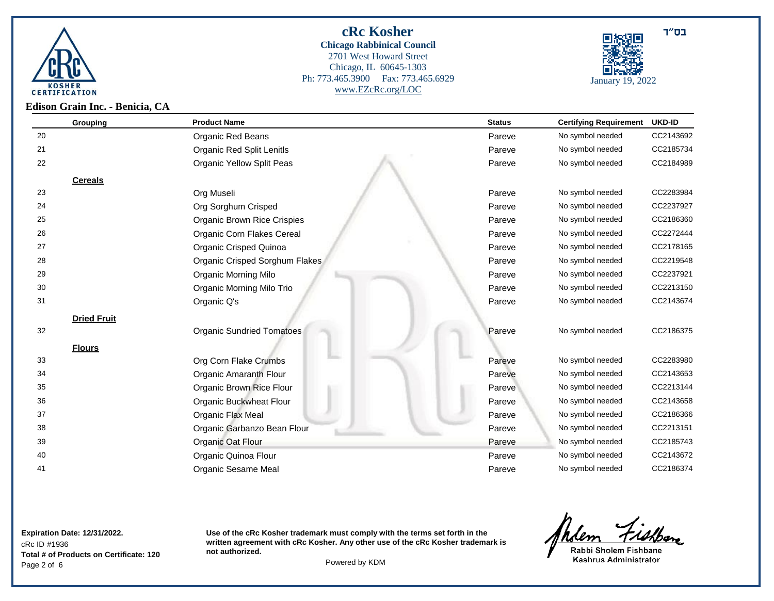



**Edison Grain Inc. - Benicia, CA**

| Grouping           | <b>Product Name</b>              | <b>Status</b> | <b>Certifying Requirement</b> | <b>UKD-ID</b> |
|--------------------|----------------------------------|---------------|-------------------------------|---------------|
| 20                 | <b>Organic Red Beans</b>         | Pareve        | No symbol needed              | CC2143692     |
| 21                 | Organic Red Split Lenitls        | Pareve        | No symbol needed              | CC2185734     |
| 22                 | <b>Organic Yellow Split Peas</b> | Pareve        | No symbol needed              | CC2184989     |
| <b>Cereals</b>     |                                  |               |                               |               |
| 23                 | Org Museli                       | Pareve        | No symbol needed              | CC2283984     |
| 24                 | Org Sorghum Crisped              | Pareve        | No symbol needed              | CC2237927     |
| 25                 | Organic Brown Rice Crispies      | Pareve        | No symbol needed              | CC2186360     |
| 26                 | Organic Corn Flakes Cereal       | Pareve        | No symbol needed              | CC2272444     |
| 27                 | Organic Crisped Quinoa           | Pareve        | No symbol needed              | CC2178165     |
| 28                 | Organic Crisped Sorghum Flakes   | Pareve        | No symbol needed              | CC2219548     |
| 29                 | <b>Organic Morning Milo</b>      | Pareve        | No symbol needed              | CC2237921     |
| 30                 | Organic Morning Milo Trio        | Pareve        | No symbol needed              | CC2213150     |
| 31                 | Organic Q's                      | Pareve        | No symbol needed              | CC2143674     |
| <b>Dried Fruit</b> |                                  |               |                               |               |
| 32                 | <b>Organic Sundried Tomatoes</b> | Pareve        | No symbol needed              | CC2186375     |
| <b>Flours</b>      |                                  |               |                               |               |
| 33                 | Org Corn Flake Crumbs            | Pareve        | No symbol needed              | CC2283980     |
| 34                 | Organic Amaranth Flour           | Pareve        | No symbol needed              | CC2143653     |
| 35                 | Organic Brown Rice Flour         | Pareve        | No symbol needed              | CC2213144     |
| 36                 | Organic Buckwheat Flour          | Pareve        | No symbol needed              | CC2143658     |
| 37                 | Organic Flax Meal                | Pareve        | No symbol needed              | CC2186366     |
| 38                 | Organic Garbanzo Bean Flour      | Pareve        | No symbol needed              | CC2213151     |
| 39                 | Organic Oat Flour                | Pareve        | No symbol needed              | CC2185743     |
| 40                 | Organic Quinoa Flour             | Pareve        | No symbol needed              | CC2143672     |
| 41                 | Organic Sesame Meal              | Pareve        | No symbol needed              | CC2186374     |

### cRc ID #1936 **Expiration Date: 12/31/2022.** Page 2 of 6 Powered by KDM **Total # of Products on Certificate: 120**

**Use of the cRc Kosher trademark must comply with the terms set forth in the written agreement with cRc Kosher. Any other use of the cRc Kosher trademark is not authorized.**

Andem Fishen

Rabbi Sholem Fishbane Kashrus Administrator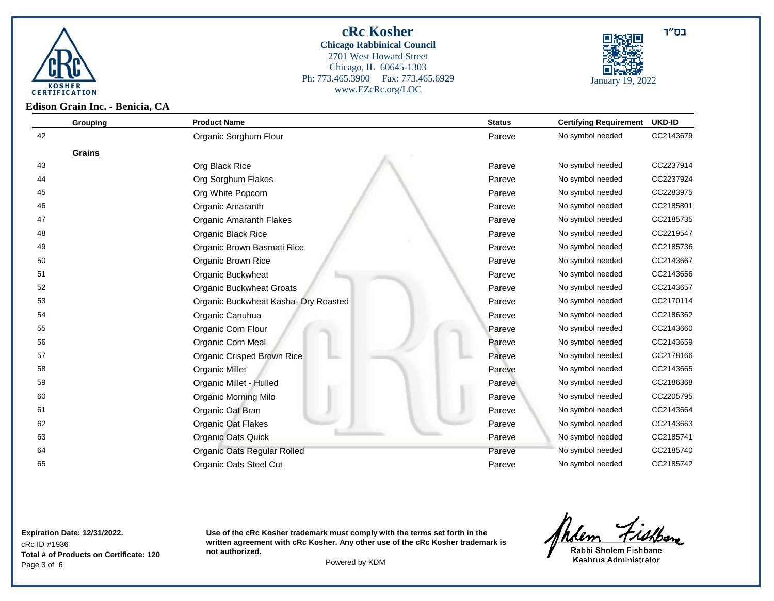



**Edison Grain Inc. - Benicia, CA**

| Grouping | <b>Product Name</b>                  | <b>Status</b> | <b>Certifying Requirement</b> | <b>UKD-ID</b> |
|----------|--------------------------------------|---------------|-------------------------------|---------------|
| 42       | Organic Sorghum Flour                | Pareve        | No symbol needed              | CC2143679     |
| Grains   |                                      |               |                               |               |
| 43       | Org Black Rice                       | Pareve        | No symbol needed              | CC2237914     |
| 44       | Org Sorghum Flakes                   | Pareve        | No symbol needed              | CC2237924     |
| 45       | Org White Popcorn                    | Pareve        | No symbol needed              | CC2283975     |
| 46       | Organic Amaranth                     | Pareve        | No symbol needed              | CC2185801     |
| 47       | Organic Amaranth Flakes              | Pareve        | No symbol needed              | CC2185735     |
| 48       | Organic Black Rice                   | Pareve        | No symbol needed              | CC2219547     |
| 49       | Organic Brown Basmati Rice           | Pareve        | No symbol needed              | CC2185736     |
| 50       | Organic Brown Rice                   | Pareve        | No symbol needed              | CC2143667     |
| 51       | Organic Buckwheat                    | Pareve        | No symbol needed              | CC2143656     |
| 52       | <b>Organic Buckwheat Groats</b>      | Pareve        | No symbol needed              | CC2143657     |
| 53       | Organic Buckwheat Kasha- Dry Roasted | Pareve        | No symbol needed              | CC2170114     |
| 54       | Organic Canuhua                      | Pareve        | No symbol needed              | CC2186362     |
| 55       | Organic Corn Flour                   | Pareve        | No symbol needed              | CC2143660     |
| 56       | Organic Corn Meal                    | Pareve        | No symbol needed              | CC2143659     |
| 57       | Organic Crisped Brown Rice           | Pareve        | No symbol needed              | CC2178166     |
| 58       | <b>Organic Millet</b>                | Pareve        | No symbol needed              | CC2143665     |
| 59       | Organic Millet - Hulled              | Pareve        | No symbol needed              | CC2186368     |
| 60       | <b>Organic Morning Milo</b>          | Pareve        | No symbol needed              | CC2205795     |
| 61       | Organic Oat Bran                     | Pareve        | No symbol needed              | CC2143664     |
| 62       | Organic Oat Flakes                   | Pareve        | No symbol needed              | CC2143663     |
| 63       | <b>Organic Oats Quick</b>            | Pareve        | No symbol needed              | CC2185741     |
| 64       | Organic Oats Regular Rolled          | Pareve        | No symbol needed              | CC2185740     |
| 65       | <b>Organic Oats Steel Cut</b>        | Pareve        | No symbol needed              | CC2185742     |

cRc ID #1936 **Expiration Date: 12/31/2022.** Page 3 of 6 Powered by KDM **Total # of Products on Certificate: 120**

**Use of the cRc Kosher trademark must comply with the terms set forth in the written agreement with cRc Kosher. Any other use of the cRc Kosher trademark is not authorized.**

Andem Fishban

Rabbi Sholem Fishbane Kashrus Administrator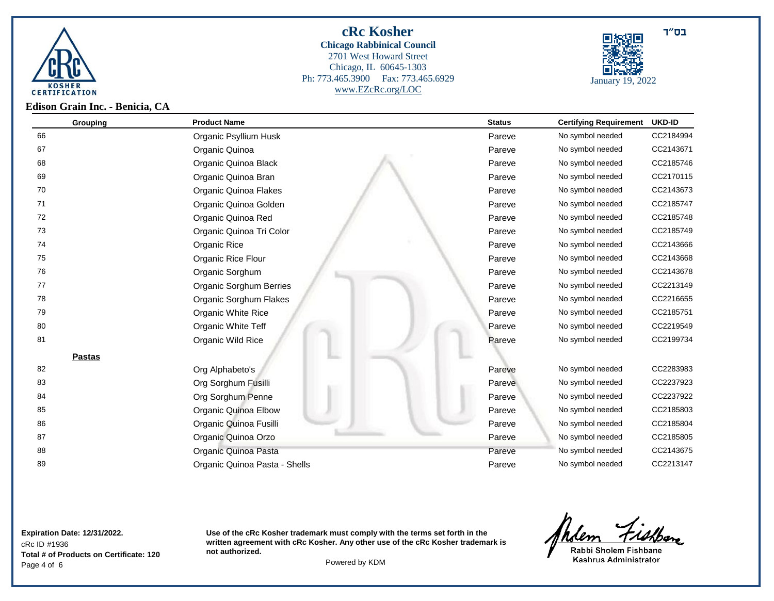



**Grouping Product Name Status Certifying Requirement UKD-ID** Organic Psyllium Husk Pareve No symbol needed CC2184994 Organic Quinoa Pareve No symbol needed CC2143671 Organic Quinoa Black Pareve No symbol needed CC2185746 Organic Quinoa Bran Pareve No symbol needed CC2170115 Organic Quinoa Flakes Pareve No symbol needed CC2143673 Organic Quinoa Golden Pareve No symbol needed CC2185747 Organic Quinoa Red Pareve No symbol needed CC2185748 Organic Quinoa Tri Color Pareve No symbol needed CC2185749 Organic Rice Pareve No symbol needed CC2143666 Organic Rice Flour Pareve No symbol needed CC2143668 Organic Sorghum Pareve No symbol needed CC2143678 Organic Sorghum Berries Pareve No symbol needed CC2213149 Organic Sorghum Flakes Pareve No symbol needed CC2216655 **Organic White Rice Pareve No symbol needed** CC2185751 Cross Cross Note and Transfer No symbol needed CC2185751 **Organic White Teff** Pareve No symbol needed CC2219549 **Organic Wild Rice Pareve No symbol needed** CC2199734 **Pareve No symbol needed** CC2199734 **Pastas** Org Alphabeto's Pareve No symbol needed CC2283983 **Org Sorghum Fusilli** Pareve No symbol needed CC2237923 Org Sorghum Penne Pareve No symbol needed CC2237922 Organic Quinoa Elbow Pareve No symbol needed CC2185803 Organic Quinoa Fusilli Pareve No symbol needed CC2185804 **State Contract Contract Contract CC2185805 CC2185805 Pareve No symbol needed** CC2185805 **88 Organic Quinoa Pasta** Pareve No symbol needed CC2143675 **Organic Quinoa Pasta - Shells** Pareve No symbol needed CC2213147

cRc ID #1936 **Expiration Date: 12/31/2022.** Page 4 of 6 Powered by KDM **Total # of Products on Certificate: 120**

**Use of the cRc Kosher trademark must comply with the terms set forth in the written agreement with cRc Kosher. Any other use of the cRc Kosher trademark is not authorized.**

<u>Milem Fishban</u>

Rabbi Sholem Fishbane Kashrus Administrator

בס"ד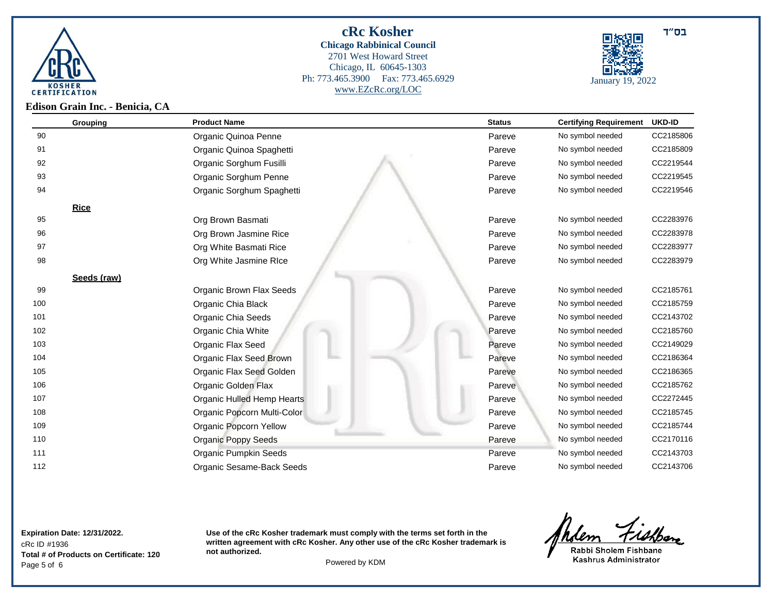



**Grouping Product Name Status Certifying Requirement UKD-ID** Organic Quinoa Penne Pareve No symbol needed CC2185806 **Organic Quinoa Spaghetti According the CC2185809** Pareve No symbol needed CC2185809 Organic Sorghum Fusilli Pareve No symbol needed CC2219544 **Organic Sorghum Penne** Pareve No symbol needed CC2219545 Organic Sorghum Spaghetti Pareve No symbol needed CC2219546 **Rice Org Brown Basmati** Pareve No symbol needed CC2283976 Org Brown Jasmine Rice Pareve No symbol needed CC2283978 **Org White Basmati Rice CC2083977 Pareve No symbol needed CC2283977**  Org White Jasmine RIce Pareve No symbol needed CC2283979 **Seeds (raw)** Organic Brown Flax Seeds Pareve No symbol needed CC2185761 **Organic Chia Black CC2185759 Organic Chia Black Pareve No symbol needed** CC2185759 Organic Chia Seeds Pareve No symbol needed CC2143702 **Organic Chia White Pareve No symbol needed** CC2185760 **Organic Flax Seed Pareve No symbol needed** CC2149029 **Organic Flax Seed Brown COMBING COMBINE COMBINE REGISTER** Pareve No symbol needed CC2186364 Organic Flax Seed Golden Pareve No symbol needed CC2186365 Organic Golden Flax Pareve No symbol needed CC2185762 Organic Hulled Hemp Hearts Pareve No symbol needed CC2272445 Organic Popcorn Multi-Color Pareve No symbol needed CC2185745 Organic Popcorn Yellow Pareve No symbol needed CC2185744 **110** Organic Poppy Seeds **Pareve No symbol needed** CC2170116 **11 111 Craanic Pumpkin Seeds Pareve No symbol needed** CC2143703 **112** Crganic Sesame-Back Seeds **Pareve No symbol needed** CC2143706

#### cRc ID #1936 **Expiration Date: 12/31/2022.** Page 5 of 6 Powered by KDM **Total # of Products on Certificate: 120**

**Use of the cRc Kosher trademark must comply with the terms set forth in the written agreement with cRc Kosher. Any other use of the cRc Kosher trademark is not authorized.**

Andem Fishen

Rabbi Sholem Fishbane Kashrus Administrator

בס"ד